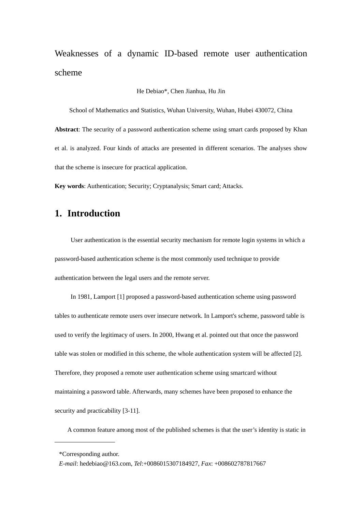Weaknesses of a dynamic ID-based remote user authentication scheme

#### He Debiao\*, Chen Jianhua, Hu Jin

School of Mathematics and Statistics, Wuhan University, Wuhan, Hubei 430072, China **Abstract**: The security of a password authentication scheme using smart cards proposed by Khan et al. is analyzed. Four kinds of attacks are presented in different scenarios. The analyses show that the scheme is insecure for practical application.

**Key words**: Authentication; Security; Cryptanalysis; Smart card; Attacks.

# **1. Introduction**

 User authentication is the essential security mechanism for remote login systems in which a password-based authentication scheme is the most commonly used technique to provide authentication between the legal users and the remote server.

 In 1981, Lamport [1] proposed a password-based authentication scheme using password tables to authenticate remote users over insecure network. In Lamport's scheme, password table is used to verify the legitimacy of users. In 2000, Hwang et al. pointed out that once the password table was stolen or modified in this scheme, the whole authentication system will be affected [2]. Therefore, they proposed a remote user authentication scheme using smartcard without maintaining a password table. Afterwards, many schemes have been proposed to enhance the security and practicability [3-11].

A common feature among most of the published schemes is that the user's identity is static in

<sup>\*</sup>Corresponding author.

*E-mail*: hedebiao@163.com, *Tel*:+0086015307184927, *Fax*: +008602787817667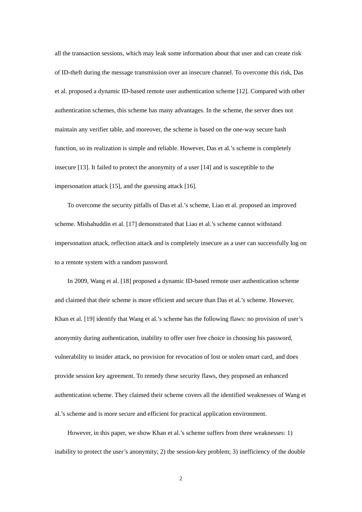all the transaction sessions, which may leak some information about that user and can create risk of ID-theft during the message transmission over an insecure channel. To overcome this risk, Das et al. proposed a dynamic ID-based remote user authentication scheme [12]. Compared with other authentication schemes, this scheme has many advantages. In the scheme, the server does not maintain any verifier table, and moreover, the scheme is based on the one-way secure hash function, so its realization is simple and reliable. However, Das et al.'s scheme is completely insecure [13]. It failed to protect the anonymity of a user [14] and is susceptible to the impersonation attack [15], and the guessing attack [16].

To overcome the security pitfalls of Das et al.'s scheme, Liao et al. proposed an improved scheme. Misbahuddin et al. [17] demonstrated that Liao et al.'s scheme cannot withstand impersonation attack, reflection attack and is completely insecure as a user can successfully log on to a remote system with a random password.

In 2009, Wang et al. [18] proposed a dynamic ID-based remote user authentication scheme and claimed that their scheme is more efficient and secure than Das et al.'s scheme. However, Khan et al. [19] identify that Wang et al.'s scheme has the following flaws: no provision of user's anonymity during authentication, inability to offer user free choice in choosing his password, vulnerability to insider attack, no provision for revocation of lost or stolen smart card, and does provide session key agreement. To remedy these security flaws, they proposed an enhanced authentication scheme. They claimed their scheme covers all the identified weaknesses of Wang et al.'s scheme and is more secure and efficient for practical application environment.

However, in this paper, we show Khan et al.'s scheme suffers from three weaknesses: 1) inability to protect the user's anonymity; 2) the session-key problem; 3) inefficiency of the double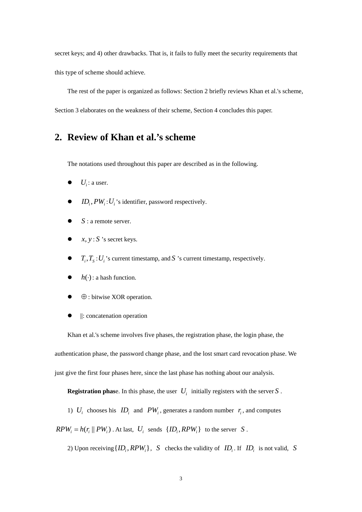secret keys; and 4) other drawbacks. That is, it fails to fully meet the security requirements that this type of scheme should achieve.

The rest of the paper is organized as follows: Section 2 briefly reviews Khan et al.'s scheme, Section 3 elaborates on the weakness of their scheme, Section 4 concludes this paper.

## **2. Review of Khan et al.'s scheme**

The notations used throughout this paper are described as in the following.

- $\bullet$  *U<sub>i</sub>*: a user.
- $ID_i$ ,  $PW_i:U_i$ 's identifier, password respectively.
- $S:$  a remote server.
- $x, y: S$  's secret keys.
- $\bullet$   $T_i, T_s: U_i$ 's current timestamp, and *S* 's current timestamp, respectively.
- $\bullet$   $h(\cdot)$ : a hash function.
- $\bullet$   $\oplus$ : bitwise XOR operation.
- ||: concatenation operation

Khan et al.'s scheme involves five phases, the registration phase, the login phase, the authentication phase, the password change phase, and the lost smart card revocation phase. We just give the first four phases here, since the last phase has nothing about our analysis.

**Registration phase.** In this phase, the user  $U_i$  initially registers with the server *S*.

1)  $U_i$  chooses his  $ID_i$  and  $PW_i$ , generates a random number  $r_i$ , and computes

 $RPW_i = h(r_i || PW_i)$ . At last,  $U_i$  sends  $\{ID_i, RPW_i\}$  to the server *S*.

2) Upon receiving  $\{ID_i, RPW_i\}$ , *S* checks the validity of  $ID_i$ . If  $ID_i$  is not valid, *S*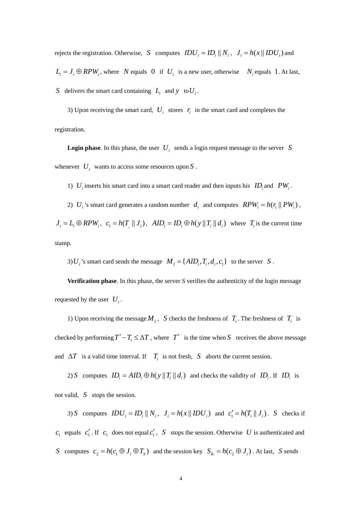rejects the registration. Otherwise, *S* computes  $IDU_i = ID_i || N_i, J_i = h(x || IDU_i)$  and  $L_i = J_i \oplus RPW_i$ , where *N* equals 0 if  $U_i$  is a new user, otherwise  $N_i$  equals 1. At last, *S* delivers the smart card containing  $L_i$  and  $y$  to  $U_i$ .

3) Upon receiving the smart card,  $U_i$  stores  $r_i$  in the smart card and completes the registration.

**Login phase.** In this phase, the user  $U_i$  sends a login request message to the server *S* whenever  $U_i$  wants to access some resources upon  $S$ .

1)  $U_i$  inserts his smart card into a smart card reader and then inputs his  $ID_i$  and  $PW_i$ .

2)  $U_i$ 's smart card generates a random number  $d_i$  and computes  $RPW_i = h(r_i || PW_i)$ ,

 $J_i = L_i \oplus RPW_i$ ,  $c_1 = h(T_i || J_i)$ ,  $AID_i = ID_i \oplus h(y || T_i || d_i)$  where  $T_i$  is the current time stamp.

3)  $U_i$  's smart card sends the message  $M_1 = \{AID_i, T_i, d_i, c_1\}$  to the server *S*.

**Verification phase**. In this phase, the server *S* verifies the authenticity of the login message requested by the user  $U_i$ .

1) Upon receiving the message  $M_1$ , *S* checks the freshness of  $T_i$ . The freshness of  $T_i$  is checked by performing  $T' - T_i \leq \Delta T$ , where  $T'$  is the time when *S* receives the above message and  $\Delta T$  is a valid time interval. If  $T_i$  is not fresh,  $S$  aborts the current session.

2) *S* computes  $ID_i = AID_i \oplus h(y || T_i || d_i)$  and checks the validity of  $ID_i$ . If  $ID_i$  is not valid, *S* stops the session.

3) *S* computes  $IDU_i = ID_i || N_i, J_i = h(x || IDU_i)$  and  $c'_i = h(T_i || J_i)$ . *S* checks if  $c_1$  equals  $c_1'$ . If  $c_1$  does not equal  $c_1'$ ,  $S$  stops the session. Otherwise U is authenticated and *S* computes  $c_2 = h(c_1 \oplus J_i \oplus T_s)$  and the session key  $S_K = h(c_2 \oplus J_i)$ . At last, *S* sends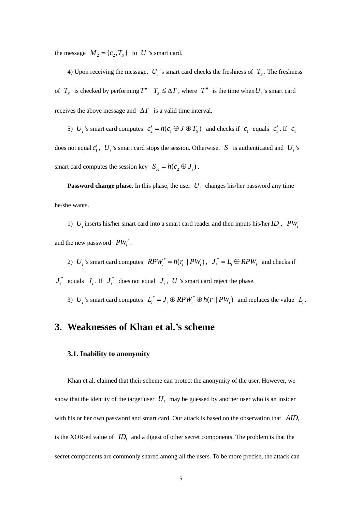the message  $M_2 = \{c_2, T_s\}$  to *U* 's smart card.

4) Upon receiving the message,  $U_i$ 's smart card checks the freshness of  $T_s$ . The freshness of  $T_s$  is checked by performing  $T'' - T_s \leq \Delta T$ , where  $T''$  is the time when  $U_i$ 's smart card receives the above message and  $\Delta T$  is a valid time interval.

5) *U<sub>i</sub>* 's smart card computes  $c'_2 = h(c_1 \oplus J \oplus T_s)$  and checks if  $c_1$  equals  $c'_1$ . If  $c_1$ does not equal  $c'_1$ ,  $U_i$ 's smart card stops the session. Otherwise, *S* is authenticated and  $U_i$ 's smart card computes the session key  $S_K = h(c_2 \oplus J_i)$ .

**Password change phase.** In this phase, the user  $U_i$  changes his/her password any time he/she wants.

1)  $U_i$  inserts his/her smart card into a smart card reader and then inputs his/her  $ID_i$ ,  $PW_i$ and the new password  $PW'_i$ .

2)  $U_i$ 's smart card computes  $RPW_i^* = h(r_i || PW_i)$ ,  $J_i^* = L_i \oplus RPW_i$  and checks if  $J_i^*$  equals  $J_i$ . If  $J_i^*$  does not equal  $J_i$ ,  $U$  's smart card reject the phase.

3)  $U_i$ 's smart card computes  $L_i^* = J_i \oplus RPW_i^* \oplus h(r || PW_i')$  and replaces the value  $L_i$ .

## **3. Weaknesses of Khan et al.'s scheme**

#### **3.1. Inability to anonymity**

Khan et al. claimed that their scheme can protect the anonymity of the user. However, we show that the identity of the target user  $U_i$  may be guessed by another user who is an insider with his or her own password and smart card. Our attack is based on the observation that *AID*<sub>i</sub> is the XOR-ed value of  $ID_i$  and a digest of other secret components. The problem is that the secret components are commonly shared among all the users. To be more precise, the attack can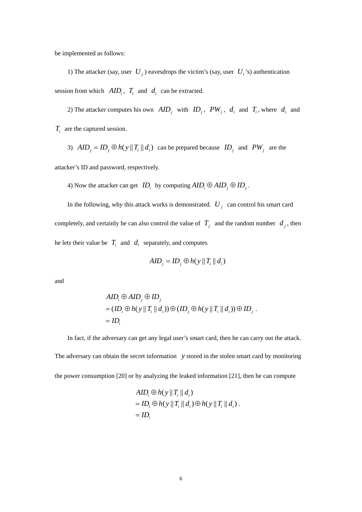be implemented as follows:

1) The attacker (say, user  $U_j$ ) eavesdrops the victim's (say, user  $U_i$ 's) authentication session from which  $AID_i$ ,  $T_i$  and  $d_i$  can be extracted.

2) The attacker computes his own  $AID_j$  with  $ID_j$ ,  $PW_j$ ,  $d_i$  and  $T_i$ , where  $d_i$  and *T<sub>i</sub>* are the captured session.

3)  $AID_j = ID_j \oplus h(y || T_i || d_i)$  can be prepared because  $ID_j$  and  $PW_j$  are the

attacker's ID and password, respectively.

4) Now the attacker can get  $ID_i$  by computing  $AID_i \oplus AID_j \oplus ID_j$ .

In the following, why this attack works is demonstrated.  $U_i$  can control his smart card completely, and certainly he can also control the value of  $T_i$  and the random number  $d_i$ , then he lets their value be  $T_i$  and  $d_i$  separately, and computes

$$
AID_j = ID_j \oplus h(y || T_i || d_i)
$$

and

$$
AID_i \oplus AID_j \oplus ID_j
$$
  
=  $(ID_i \oplus h(y || T_i || d_i)) \oplus (ID_j \oplus h(y || T_i || d_i)) \oplus ID_j$ .  
=  $ID_i$ 

In fact, if the adversary can get any legal user's smart card, then he can carry out the attack. The adversary can obtain the secret information *y* stored in the stolen smart card by monitoring the power consumption [20] or by analyzing the leaked information [21], then he can compute

$$
AID_i \oplus h(y || T_i || d_i)
$$
  
= ID<sub>i</sub>  $\oplus h(y || T_i || d_i) \oplus h(y || T_i || d_i)$ .  
= ID<sub>i</sub>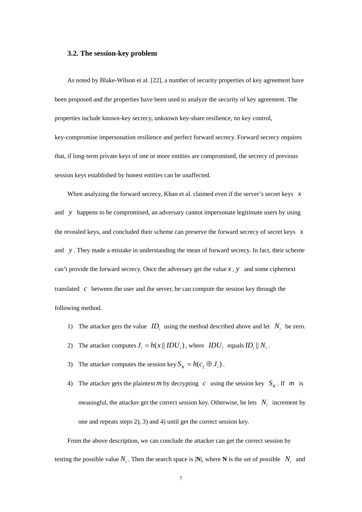#### **3.2. The session-key problem**

As noted by Blake-Wilson et al. [22], a number of security properties of key agreement have been proposed and the properties have been used to analyze the security of key agreement. The properties include known-key secrecy, unknown key-share resilience, no key control, key-compromise impersonation resilience and perfect forward secrecy. Forward secrecy requires that, if long-term private keys of one or more entities are compromised, the secrecy of previous session keys established by honest entities can be unaffected.

When analyzing the forward secrecy, Khan et al. claimed even if the server's secret keys *x* and *y* happens to be compromised, an adversary cannot impersonate legitimate users by using the revealed keys, and concluded their scheme can preserve the forward secrecy of secret keys *x* and *y* . They made a mistake in understanding the mean of forward secrecy. In fact, their scheme can't provide the forward secrecy. Once the adversary get the value *x* , *y* and some ciphertext translated *c* between the user and the server, he can compute the session key through the following method.

- 1) The attacker gets the value  $ID_i$  using the method described above and let  $N_i$  be zero.
- 2) The attacker computes  $J_i = h(x || IDU_i)$ , where  $IDU_i$  equals  $ID_i || N_i$ .
- 3) The attacker computes the session key  $S_K = h(c_2 \oplus J_i)$ .
- 4) The attacker gets the plaintext m by decrypting *c* using the session key  $S_K$ . If m is meaningful, the attacker get the correct session key. Otherwise, he lets  $N_i$  increment by one and repeats steps 2), 3) and 4) until get the correct session key.

From the above description, we can conclude the attacker can get the correct session by testing the possible value  $N_i$ . Then the search space is  $|N|$ , where N is the set of possible  $N_i$  and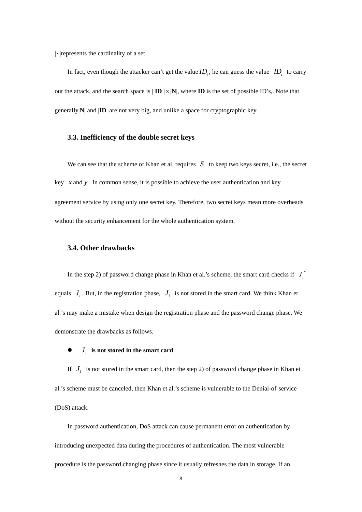$\lvert \cdot \rvert$  represents the cardinality of a set.

In fact, even though the attacker can't get the value  $ID_i$ , he can guess the value  $ID_i$  to carry out the attack, and the search space is  $|\mathbf{ID}| \times |\mathbf{N}|$ , where  $\mathbf{ID}$  is the set of possible ID's,. Note that generally|**N**| and |**ID**| are not very big, and unlike a space for cryptographic key.

#### **3.3. Inefficiency of the double secret keys**

We can see that the scheme of Khan et al. requires *S* to keep two keys secret, i.e., the secret key *x* and *y* . In common sense, it is possible to achieve the user authentication and key agreement service by using only one secret key. Therefore, two secret keys mean more overheads without the security enhancement for the whole authentication system.

#### **3.4. Other drawbacks**

In the step 2) of password change phase in Khan et al.'s scheme, the smart card checks if  $J_i^*$ equals  $J_i$ . But, in the registration phase,  $J_i$  is not stored in the smart card. We think Khan et al.'s may make a mistake when design the registration phase and the password change phase. We demonstrate the drawbacks as follows.

### $\bullet$  *J<sub>i</sub>* is not stored in the smart card

If  $J_i$  is not stored in the smart card, then the step 2) of password change phase in Khan et al.'s scheme must be canceled, then Khan et al.'s scheme is vulnerable to the Denial-of-service (DoS) attack.

In password authentication, DoS attack can cause permanent error on authentication by introducing unexpected data during the procedures of authentication. The most vulnerable procedure is the password changing phase since it usually refreshes the data in storage. If an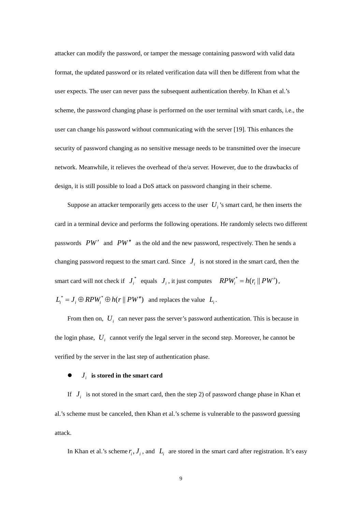attacker can modify the password, or tamper the message containing password with valid data format, the updated password or its related verification data will then be different from what the user expects. The user can never pass the subsequent authentication thereby. In Khan et al.'s scheme, the password changing phase is performed on the user terminal with smart cards, i.e., the user can change his password without communicating with the server [19]. This enhances the security of password changing as no sensitive message needs to be transmitted over the insecure network. Meanwhile, it relieves the overhead of the/a server. However, due to the drawbacks of design, it is still possible to load a DoS attack on password changing in their scheme.

Suppose an attacker temporarily gets access to the user  $U_i$ 's smart card, he then inserts the card in a terminal device and performs the following operations. He randomly selects two different passwords *PW'* and *PW'* as the old and the new password, respectively. Then he sends a changing password request to the smart card. Since  $J_i$  is not stored in the smart card, then the smart card will not check if  $J_i^*$  equals  $J_i$ , it just computes  $RPW_i^* = h(r_i || PW')$ ,  $L_i^* = J_i \oplus RPW_i^* \oplus h(r || PW')$  and replaces the value  $L_i$ .

From then on,  $U_i$  can never pass the server's password authentication. This is because in the login phase,  $U_i$  cannot verify the legal server in the second step. Moreover, he cannot be verified by the server in the last step of authentication phase.

#### $\bullet$  *J<sub>i</sub>* is stored in the smart card

If  $J_i$  is not stored in the smart card, then the step 2) of password change phase in Khan et al.'s scheme must be canceled, then Khan et al.'s scheme is vulnerable to the password guessing attack.

In Khan et al.'s scheme  $r_i$ ,  $J_i$ , and  $L_i$  are stored in the smart card after registration. It's easy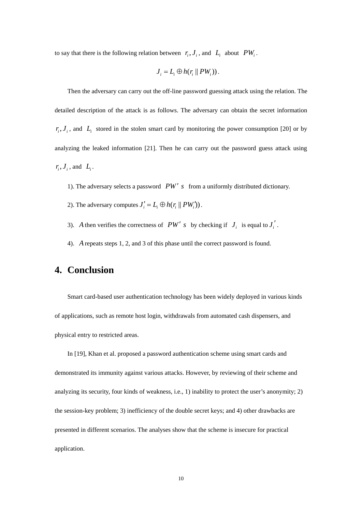to say that there is the following relation between  $r_i$ ,  $J_i$ , and  $L_i$  about  $PW_i$ .

$$
J_i = L_i \oplus h(r_i \parallel PW_i)).
$$

Then the adversary can carry out the off-line password guessing attack using the relation. The detailed description of the attack is as follows. The adversary can obtain the secret information  $r_i, J_i$ , and  $L_i$  stored in the stolen smart card by monitoring the power consumption [20] or by analyzing the leaked information [21]. Then he can carry out the password guess attack using  $r_i, J_i$ , and  $L_i$ .

1). The adversary selects a password *PW s* from a uniformly distributed dictionary.

- 2). The adversary computes  $J_i' = L_i \oplus h(r_i || PW_i')$ .
- 3). *A* then verifies the correctness of *PW' s* by checking if  $J_i$  is equal to  $J_i'$ .
- 4). *A* repeats steps 1, 2, and 3 of this phase until the correct password is found.

## **4. Conclusion**

Smart card-based user authentication technology has been widely deployed in various kinds of applications, such as remote host login, withdrawals from automated cash dispensers, and physical entry to restricted areas.

In [19], Khan et al. proposed a password authentication scheme using smart cards and demonstrated its immunity against various attacks. However, by reviewing of their scheme and analyzing its security, four kinds of weakness, i.e., 1) inability to protect the user's anonymity; 2) the session-key problem; 3) inefficiency of the double secret keys; and 4) other drawbacks are presented in different scenarios. The analyses show that the scheme is insecure for practical application.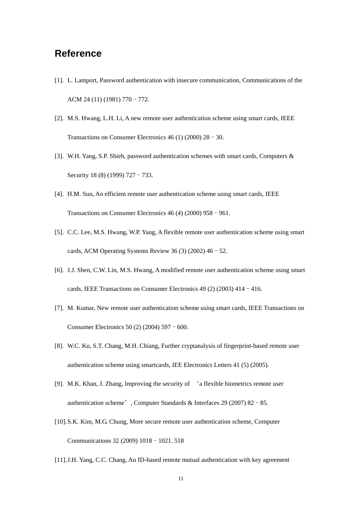## **Reference**

- [1]. L. Lamport, Password authentication with insecure communication, Communications of the ACM 24 (11) (1981) 770–772.
- [2]. M.S. Hwang, L.H. Li, A new remote user authentication scheme using smart cards, IEEE Transactions on Consumer Electronics 46 (1) (2000) 28–30.
- [3]. W.H. Yang, S.P. Shieh, password authentication schemes with smart cards, Computers & Security 18 (8) (1999) 727 - 733.
- [4]. H.M. Sun, An efficient remote user authentication scheme using smart cards, IEEE Transactions on Consumer Electronics 46 (4) (2000) 958–961.
- [5]. C.C. Lee, M.S. Hwang, W.P. Yang, A flexible remote user authentication scheme using smart cards, ACM Operating Systems Review 36 (3) (2002) 46 - 52.
- [6]. J.J. Shen, C.W. Lin, M.S. Hwang, A modified remote user authentication scheme using smart cards, IEEE Transactions on Consumer Electronics 49 (2) (2003) 414–416.
- [7]. M. Kumar, New remote user authentication scheme using smart cards, IEEE Transactions on Consumer Electronics 50 (2) (2004) 597–600.
- [8]. W.C. Ku, S.T. Chang, M.H. Chiang, Further cryptanalysis of fingerprint-based remote user authentication scheme using smartcards, IEE Electronics Letters 41 (5) (2005).
- [9]. M.K. Khan, J. Zhang, Improving the security of 'a flexible biometrics remote user authentication scheme', Computer Standards & Interfaces 29 (2007) 82–85.
- [10].S.K. Kim, M.G. Chung, More secure remote user authentication scheme, Computer Communications 32 (2009) 1018–1021. 518
- [11].J.H. Yang, C.C. Chang, An ID-based remote mutual authentication with key agreement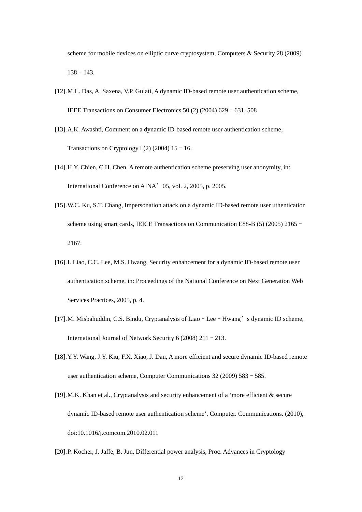scheme for mobile devices on elliptic curve cryptosystem, Computers & Security 28 (2009) 138–143.

- [12].M.L. Das, A. Saxena, V.P. Gulati, A dynamic ID-based remote user authentication scheme, IEEE Transactions on Consumer Electronics 50 (2) (2004) 629–631. 508
- [13].A.K. Awashti, Comment on a dynamic ID-based remote user authentication scheme, Transactions on Cryptology 1 $(2)(2004)$  15 - 16.
- [14].H.Y. Chien, C.H. Chen, A remote authentication scheme preserving user anonymity, in: International Conference on AINA'05, vol. 2, 2005, p. 2005.
- [15].W.C. Ku, S.T. Chang, Impersonation attack on a dynamic ID-based remote user uthentication scheme using smart cards, IEICE Transactions on Communication E88-B (5) (2005) 2165– 2167.
- [16].I. Liao, C.C. Lee, M.S. Hwang, Security enhancement for a dynamic ID-based remote user authentication scheme, in: Proceedings of the National Conference on Next Generation Web Services Practices, 2005, p. 4.
- [17].M. Misbahuddin, C.S. Bindu, Cryptanalysis of Liao–Lee–Hwang's dynamic ID scheme, International Journal of Network Security 6 (2008) 211–213.
- [18].Y.Y. Wang, J.Y. Kiu, F.X. Xiao, J. Dan, A more efficient and secure dynamic ID-based remote user authentication scheme, Computer Communications 32 (2009) 583–585.
- [19].M.K. Khan et al., Cryptanalysis and security enhancement of a 'more efficient & secure dynamic ID-based remote user authentication scheme', Computer. Communications. (2010), doi:10.1016/j.comcom.2010.02.011
- [20].P. Kocher, J. Jaffe, B. Jun, Differential power analysis, Proc. Advances in Cryptology